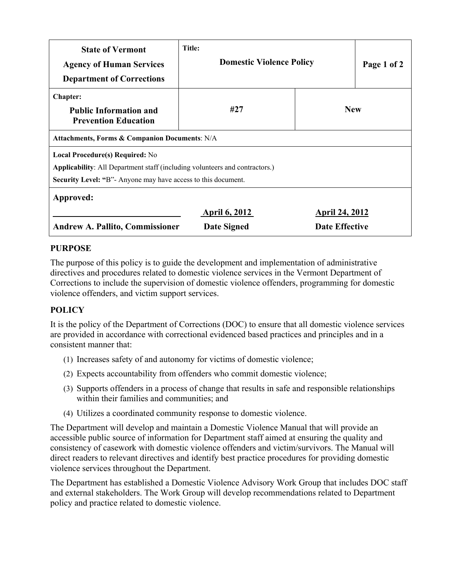| <b>State of Vermont</b><br><b>Agency of Human Services</b><br><b>Department of Corrections</b>                                                                                               | Title:<br><b>Domestic Violence Policy</b> |                | Page 1 of 2 |
|----------------------------------------------------------------------------------------------------------------------------------------------------------------------------------------------|-------------------------------------------|----------------|-------------|
| <b>Chapter:</b><br><b>Public Information and</b><br><b>Prevention Education</b>                                                                                                              | #27                                       | <b>New</b>     |             |
| Attachments, Forms & Companion Documents: N/A                                                                                                                                                |                                           |                |             |
| Local Procedure(s) Required: No<br><b>Applicability:</b> All Department staff (including volunteers and contractors.)<br><b>Security Level: "B"</b> Anyone may have access to this document. |                                           |                |             |
| Approved:                                                                                                                                                                                    |                                           |                |             |
|                                                                                                                                                                                              | <b>April 6, 2012</b>                      | April 24, 2012 |             |
| <b>Andrew A. Pallito, Commissioner</b>                                                                                                                                                       | <b>Date Effective</b><br>Date Signed      |                |             |

#### **PURPOSE**

The purpose of this policy is to guide the development and implementation of administrative directives and procedures related to domestic violence services in the Vermont Department of Corrections to include the supervision of domestic violence offenders, programming for domestic violence offenders, and victim support services.

### **POLICY**

It is the policy of the Department of Corrections (DOC) to ensure that all domestic violence services are provided in accordance with correctional evidenced based practices and principles and in a consistent manner that:

- (1) Increases safety of and autonomy for victims of domestic violence;
- (2) Expects accountability from offenders who commit domestic violence;
- (3) Supports offenders in a process of change that results in safe and responsible relationships within their families and communities; and
- (4) Utilizes a coordinated community response to domestic violence.

The Department will develop and maintain a Domestic Violence Manual that will provide an accessible public source of information for Department staff aimed at ensuring the quality and consistency of casework with domestic violence offenders and victim/survivors. The Manual will direct readers to relevant directives and identify best practice procedures for providing domestic violence services throughout the Department.

The Department has established a Domestic Violence Advisory Work Group that includes DOC staff and external stakeholders. The Work Group will develop recommendations related to Department policy and practice related to domestic violence.